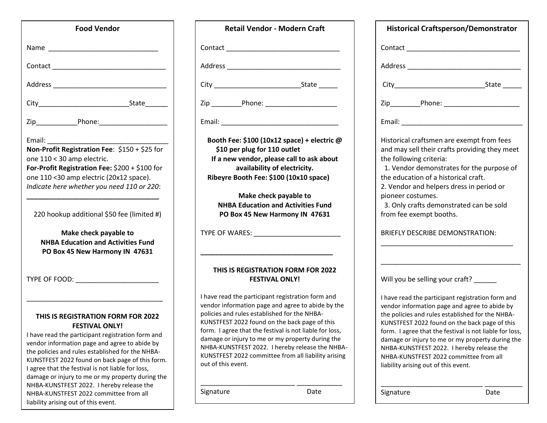| <b>Food Vendor</b>                                                                                                                                                                                                                                                                                                                                                                                                                    |  |
|---------------------------------------------------------------------------------------------------------------------------------------------------------------------------------------------------------------------------------------------------------------------------------------------------------------------------------------------------------------------------------------------------------------------------------------|--|
|                                                                                                                                                                                                                                                                                                                                                                                                                                       |  |
| Contact ____________________                                                                                                                                                                                                                                                                                                                                                                                                          |  |
|                                                                                                                                                                                                                                                                                                                                                                                                                                       |  |
|                                                                                                                                                                                                                                                                                                                                                                                                                                       |  |
|                                                                                                                                                                                                                                                                                                                                                                                                                                       |  |
| Email:                                                                                                                                                                                                                                                                                                                                                                                                                                |  |
| Non-Profit Registration Fee: \$150 + \$25 for<br>one 110 < 30 amp electric.<br>For-Profit Registration Fee: \$200 + \$100 for                                                                                                                                                                                                                                                                                                         |  |
| one 110 <30 amp electric (20x12 space).                                                                                                                                                                                                                                                                                                                                                                                               |  |
| Indicate here whether you need 110 or 220:                                                                                                                                                                                                                                                                                                                                                                                            |  |
| 220 hookup additional \$50 fee (limited #)                                                                                                                                                                                                                                                                                                                                                                                            |  |
| Make check payable to<br><b>NHBA Education and Activities Fund</b><br>PO Box 45 New Harmony IN 47631                                                                                                                                                                                                                                                                                                                                  |  |
|                                                                                                                                                                                                                                                                                                                                                                                                                                       |  |
| <b>THIS IS REGISTRATION FORM FOR 2022</b><br><b>FESTIVAL ONLY!</b><br>I have read the participant registration form and<br>vendor information page and agree to abide by<br>the policies and rules established for the NHBA-<br>KUNSTFEST 2022 found on back page of this form.<br>I agree that the festival is not liable for loss,<br>damage or injury to me or my property during the<br>NHBA-KUNSTFEST 2022. I hereby release the |  |

liability arising out of this event.

## **Retail Vendor - Modern Craft** Contact \_\_\_\_\_\_\_\_\_\_\_\_\_\_\_\_\_\_\_\_\_\_\_\_\_\_\_\_\_\_

Address \_\_\_\_\_\_\_\_\_\_\_\_\_\_\_\_\_\_\_\_\_\_\_\_\_\_\_\_\_\_

City \_\_\_\_\_\_\_\_\_\_\_\_\_\_\_\_\_\_\_\_\_\_\_State \_\_\_\_\_

Zip \_\_\_\_\_\_\_\_Phone: \_\_\_\_\_\_\_\_\_\_\_\_\_\_\_\_\_\_\_

Email: \_\_\_\_\_\_\_\_\_\_\_\_\_\_\_\_\_\_\_\_\_\_\_\_\_\_\_\_\_\_\_

 **Booth Fee: \$100 (10x12 space) + electric @ \$10 per plug for 110 outlet If a new vendor, please call to ask about availability of electricity. Ribeyre Booth Fee: \$100 (10x10 space)**

**Make check payable to NHBA Education and Activities Fund PO Box 45 New Harmony IN 47631**

TYPE OF WARES: \_\_\_\_\_\_\_\_\_\_\_\_\_\_\_\_\_\_\_\_\_\_\_

#### **THIS IS REGISTRATION FORM FOR 2022 FESTIVAL ONLY!**

**\_\_\_\_\_\_\_\_\_\_\_\_\_\_\_\_\_\_\_\_\_\_\_\_\_\_\_\_\_\_\_\_\_\_\_**

I have read the participant registration form and vendor information page and agree to abide by the policies and rules established for the NHBA-KUNSTFEST 2022 found on the back page of this form. I agree that the festival is not liable for loss, damage or injury to me or my property during the NHBA-KUNSTFEST 2022. I hereby release the NHBA-KUNSTFEST 2022 committee from all liability arising out of this event.

\_\_\_\_\_\_\_\_\_\_\_\_\_\_\_\_\_\_\_\_\_\_\_\_\_ \_\_\_\_\_\_\_\_\_\_\_\_

Signature Date

| <b>Historical Craftsperson/Demonstrator</b>                                                                           |
|-----------------------------------------------------------------------------------------------------------------------|
|                                                                                                                       |
|                                                                                                                       |
|                                                                                                                       |
| Zip____________Phone: ___________________________                                                                     |
|                                                                                                                       |
| Historical craftsmen are exempt from fees<br>and may sell their crafts providing they meet<br>the following criteria: |
| 1. Vendor demonstrates for the purpose of                                                                             |

the education of a historical craft.

2. Vendor and helpers dress in period or pioneer costumes.

 3. Only crafts demonstrated can be sold from fee exempt booths.

#### BRIEFLY DESCRIBE DEMONSTRATION:

\_\_\_\_\_\_\_\_\_\_\_\_\_\_\_\_\_\_\_\_\_\_\_\_\_\_\_\_\_\_\_\_\_\_\_

\_\_\_\_\_\_\_\_\_\_\_\_\_\_\_\_\_\_\_\_\_\_\_\_\_\_\_\_\_\_\_\_\_\_\_\_\_

| Will you be selling your craft? |  |
|---------------------------------|--|
|---------------------------------|--|

I have read the participant registration form and vendor information page and agree to abide by the policies and rules established for the NHBA-KUNSTFEST 2022 found on the back page of this form. I agree that the festival is not liable for loss, damage or injury to me or my property during the NHBA-KUNSTFEST 2022. I hereby release the NHBA-KUNSTFEST 2022 committee from all liability arising out of this event.

\_\_\_\_\_\_\_\_\_\_\_\_\_\_\_\_\_\_\_\_\_\_\_\_\_\_\_ \_\_\_\_\_\_\_\_\_\_

Signature Date